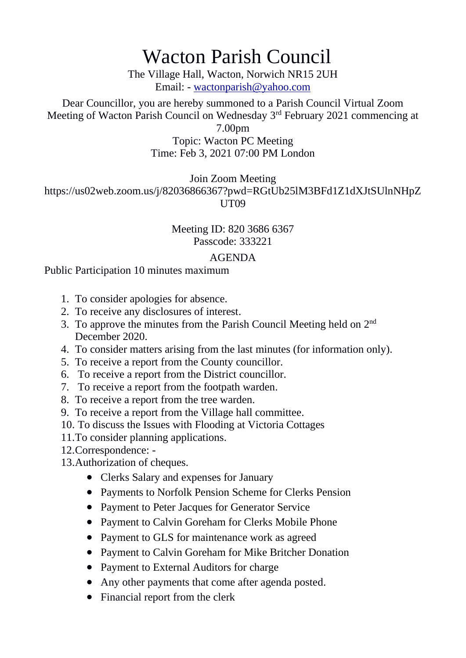## Wacton Parish Council

The Village Hall, Wacton, Norwich NR15 2UH Email: - [wactonparish@yahoo.com](mailto:wactonparish@yahoo.com)

Dear Councillor, you are hereby summoned to a Parish Council Virtual Zoom Meeting of Wacton Parish Council on Wednesday 3<sup>rd</sup> February 2021 commencing at

> 7.00pm Topic: Wacton PC Meeting

Time: Feb 3, 2021 07:00 PM London

Join Zoom Meeting

https://us02web.zoom.us/j/82036866367?pwd=RGtUb25lM3BFd1Z1dXJtSUlnNHpZ UT09

## Meeting ID: 820 3686 6367 Passcode: 333221

## AGENDA

## Public Participation 10 minutes maximum

- 1. To consider apologies for absence.
- 2. To receive any disclosures of interest.
- 3. To approve the minutes from the Parish Council Meeting held on 2<sup>nd</sup> December 2020.
- 4. To consider matters arising from the last minutes (for information only).
- 5. To receive a report from the County councillor.
- 6. To receive a report from the District councillor.
- 7. To receive a report from the footpath warden.
- 8. To receive a report from the tree warden.
- 9. To receive a report from the Village hall committee.
- 10. To discuss the Issues with Flooding at Victoria Cottages
- 11.To consider planning applications.
- 12.Correspondence: -
- 13.Authorization of cheques.
	- Clerks Salary and expenses for January
	- Payments to Norfolk Pension Scheme for Clerks Pension
	- Payment to Peter Jacques for Generator Service
	- Payment to Calvin Goreham for Clerks Mobile Phone
	- Payment to GLS for maintenance work as agreed
	- Payment to Calvin Goreham for Mike Britcher Donation
	- Payment to External Auditors for charge
	- Any other payments that come after agenda posted.
	- Financial report from the clerk